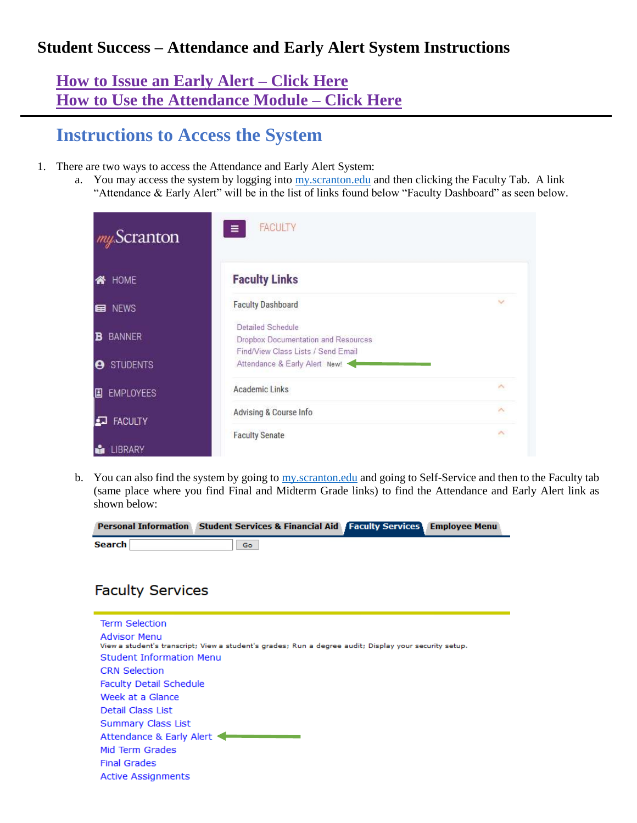### **Student Success – Attendance and Early Alert System Instructions**

### **[How to Issue an Early Alert –](#page-4-0) Click Here [How to Use the Attendance Module –](#page-2-0) Click Here**

## **Instructions to Access the System**

- 1. There are two ways to access the Attendance and Early Alert System:
	- a. You may access the system by logging into my scranton.edu and then clicking the Faculty Tab. A link "Attendance & Early Alert" will be in the list of links found below "Faculty Dashboard" as seen below.

| my Scranton             | <b>FACULTY</b><br>Ξ                                                                            |                     |
|-------------------------|------------------------------------------------------------------------------------------------|---------------------|
| HOME<br>谷               | <b>Faculty Links</b>                                                                           |                     |
| E NEWS                  | <b>Faculty Dashboard</b>                                                                       |                     |
| <b>BANNER</b><br>в      | Detailed Schedule<br>Dropbox Documentation and Resources<br>Find/View Class Lists / Send Email |                     |
| <b>STUDENTS</b><br>Θ    | Attendance & Early Alert New!                                                                  |                     |
| <b>EMPLOYEES</b><br>圓   | <b>Academic Links</b>                                                                          | ٨                   |
| <b>FACULTY</b><br>لمفرا | Advising & Course Info                                                                         | $\hat{\phantom{a}}$ |
| LIBRARY                 | <b>Faculty Senate</b>                                                                          | ٨                   |

b. You can also find the system by going to [my.scranton.edu](https://my.scranton.edu/) and going to Self-Service and then to the Faculty tab (same place where you find Final and Midterm Grade links) to find the Attendance and Early Alert link as shown below:

|               | Personal Information Student Services & Financial Aid Faculty Services Employee Menu |  |
|---------------|--------------------------------------------------------------------------------------|--|
| <b>Search</b> | Go                                                                                   |  |

### **Faculty Services**

Ė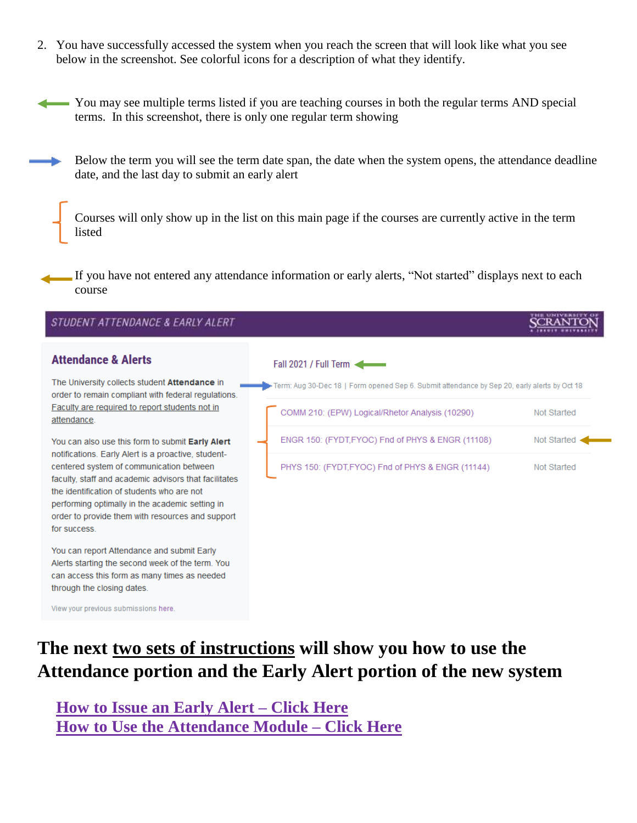2. You have successfully accessed the system when you reach the screen that will look like what you see below in the screenshot. See colorful icons for a description of what they identify.

You may see multiple terms listed if you are teaching courses in both the regular terms AND special terms. In this screenshot, there is only one regular term showing

Below the term you will see the term date span, the date when the system opens, the attendance deadline date, and the last day to submit an early alert

Courses will only show up in the list on this main page if the courses are currently active in the term listed

If you have not entered any attendance information or early alerts, "Not started" displays next to each course

| STUDENT ATTENDANCE & EARLY ALERT                                                                                                                                                                                                                                       |                                                                                              |             |
|------------------------------------------------------------------------------------------------------------------------------------------------------------------------------------------------------------------------------------------------------------------------|----------------------------------------------------------------------------------------------|-------------|
| <b>Attendance &amp; Alerts</b>                                                                                                                                                                                                                                         | Fall 2021 / Full Term                                                                        |             |
| The University collects student <b>Attendance</b> in<br>order to remain compliant with federal regulations.                                                                                                                                                            | From: Aug 30-Dec 18   Form opened Sep 6. Submit attendance by Sep 20, early alerts by Oct 18 |             |
| Faculty are required to report students not in<br>attendance.                                                                                                                                                                                                          | COMM 210: (EPW) Logical/Rhetor Analysis (10290)                                              | Not Started |
| You can also use this form to submit Early Alert<br>notifications. Early Alert is a proactive, student-                                                                                                                                                                | ENGR 150: (FYDT, FYOC) Fnd of PHYS & ENGR (11108)                                            | Not Started |
| centered system of communication between<br>faculty, staff and academic advisors that facilitates<br>the identification of students who are not<br>performing optimally in the academic setting in<br>order to provide them with resources and support<br>for success. | PHYS 150: (FYDT, FYOC) Fnd of PHYS & ENGR (11144)                                            | Not Started |
| You can report Attendance and submit Early<br>Alerts starting the second week of the term. You<br>can access this form as many times as needed<br>through the closing dates.                                                                                           |                                                                                              |             |
| View your previous submissions here.                                                                                                                                                                                                                                   |                                                                                              |             |

# **The next two sets of instructions will show you how to use the Attendance portion and the Early Alert portion of the new system**

**[How to Issue an Early Alert –](#page-4-0) Click Here [How to Use the Attendance Module –](#page-2-0) Click Here**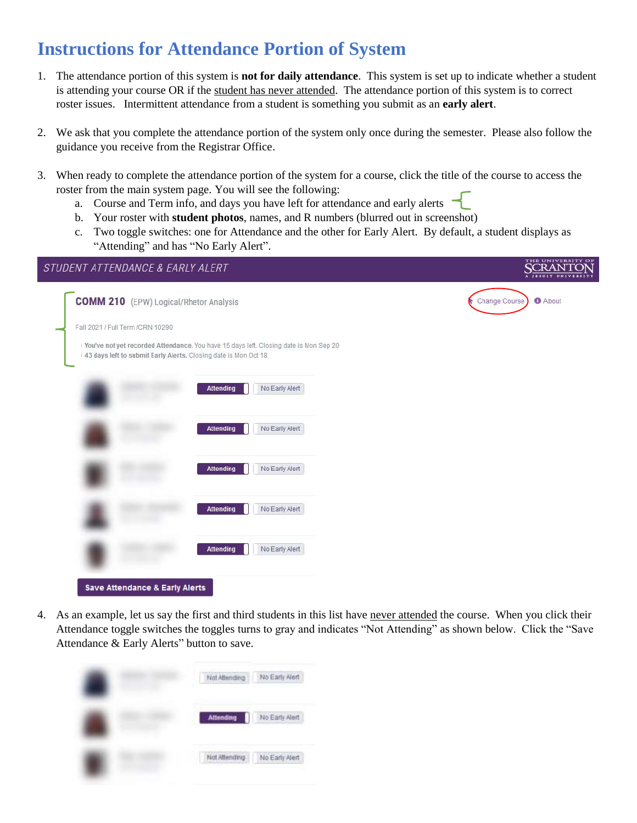# <span id="page-2-0"></span>**Instructions for Attendance Portion of System**

- 1. The attendance portion of this system is **not for daily attendance**. This system is set up to indicate whether a student is attending your course OR if the student has never attended. The attendance portion of this system is to correct roster issues. Intermittent attendance from a student is something you submit as an **early alert**.
- 2. We ask that you complete the attendance portion of the system only once during the semester. Please also follow the guidance you receive from the Registrar Office.
- 3. When ready to complete the attendance portion of the system for a course, click the title of the course to access the roster from the main system page. You will see the following:
	- a. Course and Term info, and days you have left for attendance and early alerts
	- b. Your roster with **student photos**, names, and R numbers (blurred out in screenshot)
	- c. Two toggle switches: one for Attendance and the other for Early Alert. By default, a student displays as "Attending" and has "No Early Alert".

| STUDENT ATTENDANCE & EARLY ALERT                                                                                                                         | <b>THE OMINERSITY</b><br><b>SCRANTO</b> |
|----------------------------------------------------------------------------------------------------------------------------------------------------------|-----------------------------------------|
| <b>COMM 210</b> (EPW) Logical/Rhetor Analysis                                                                                                            | <b>O</b> About<br>Change Course<br>e    |
| Fall 2021 / Full Term /CRN 10290                                                                                                                         |                                         |
| You've not yet recorded Attendance. You have 15 days left. Closing date is Mon Sep 20<br>43 days left to submit Early Alerts. Closing date is Mon Oct 18 |                                         |
| No Early Alert<br><b>Attending</b>                                                                                                                       |                                         |
| No Early Alert<br><b>Attending</b>                                                                                                                       |                                         |
| No Early Alert<br><b>Attending</b>                                                                                                                       |                                         |
| No Early Alert<br><b>Attending</b>                                                                                                                       |                                         |
| No Early Alert<br><b>Attending</b>                                                                                                                       |                                         |
| <b>Save Attendance &amp; Early Alerts</b>                                                                                                                |                                         |

4. As an example, let us say the first and third students in this list have never attended the course. When you click their Attendance toggle switches the toggles turns to gray and indicates "Not Attending" as shown below. Click the "Save Attendance & Early Alerts" button to save.

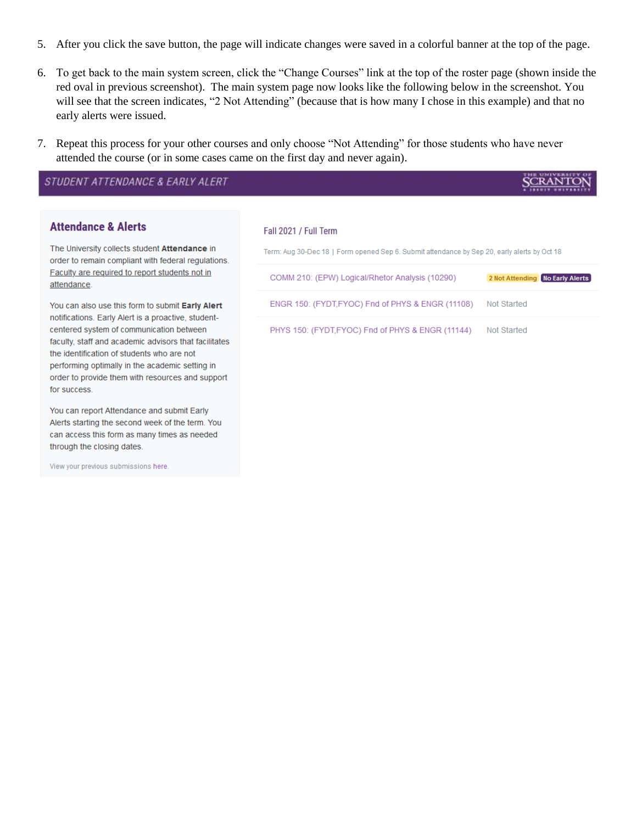- 5. After you click the save button, the page will indicate changes were saved in a colorful banner at the top of the page.
- 6. To get back to the main system screen, click the "Change Courses" link at the top of the roster page (shown inside the red oval in previous screenshot). The main system page now looks like the following below in the screenshot. You will see that the screen indicates, "2 Not Attending" (because that is how many I chose in this example) and that no early alerts were issued.
- 7. Repeat this process for your other courses and only choose "Not Attending" for those students who have never attended the course (or in some cases came on the first day and never again).

STUDENT ATTENDANCE & EARLY ALERT

#### **Attendance & Alerts**

The University collects student Attendance in order to remain compliant with federal regulations. Faculty are required to report students not in attendance.

You can also use this form to submit Early Alert notifications. Early Alert is a proactive, studentcentered system of communication between faculty, staff and academic advisors that facilitates the identification of students who are not performing optimally in the academic setting in order to provide them with resources and support for success.

You can report Attendance and submit Early Alerts starting the second week of the term. You can access this form as many times as needed through the closing dates.

View your previous submissions here.

#### Fall 2021 / Full Term

Term: Aug 30-Dec 18 | Form opened Sep 6. Submit attendance by Sep 20, early alerts by Oct 18 COMM 210: (EPW) Logical/Rhetor Analysis (10290) 2 Not Attending No Early Alerts ENGR 150: (FYDT, FYOC) Fnd of PHYS & ENGR (11108) Not Started PHYS 150: (FYDT,FYOC) Fnd of PHYS & ENGR (11144) Not Started

**SCRANTO**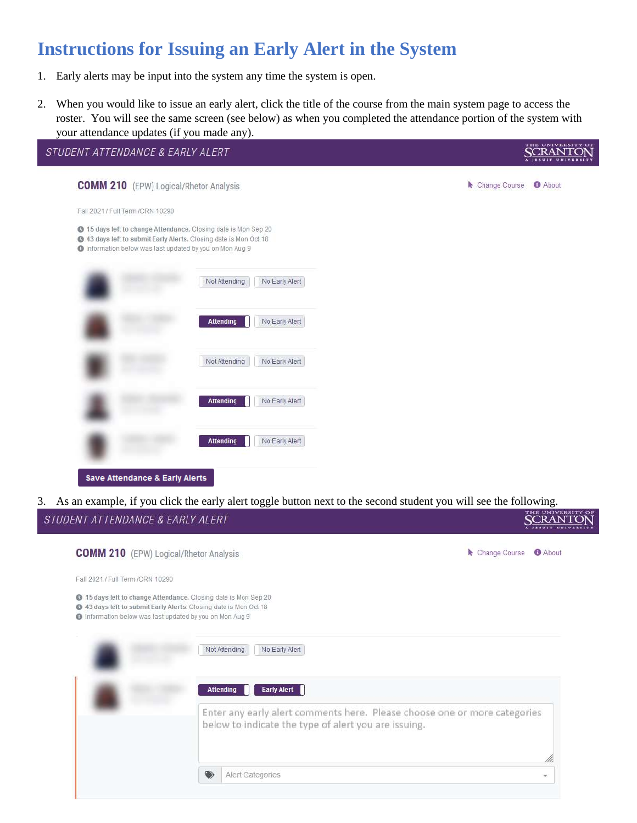# <span id="page-4-0"></span>**Instructions for Issuing an Early Alert in the System**

- 1. Early alerts may be input into the system any time the system is open.
- 2. When you would like to issue an early alert, click the title of the course from the main system page to access the roster. You will see the same screen (see below) as when you completed the attendance portion of the system with your attendance updates (if you made any).



3. As an example, if you click the early alert toggle button next to the second student you will see the following.

| STUDENT ATTENDANCE & EARLY ALERT                                                                                                                                                           |   |                                                                                                                                   |                                 |
|--------------------------------------------------------------------------------------------------------------------------------------------------------------------------------------------|---|-----------------------------------------------------------------------------------------------------------------------------------|---------------------------------|
| <b>COMM 210</b> (EPW) Logical/Rhetor Analysis                                                                                                                                              |   |                                                                                                                                   | Change Course<br><b>B</b> About |
| Fall 2021 / Full Term /CRN 10290                                                                                                                                                           |   |                                                                                                                                   |                                 |
| 15 days left to change Attendance, Closing date is Mon Sep 20<br>43 days left to submit Early Alerts. Closing date is Mon Oct 18<br>Information below was last updated by you on Mon Aug 9 |   |                                                                                                                                   |                                 |
|                                                                                                                                                                                            |   | No Early Alert<br>Not Attending                                                                                                   |                                 |
|                                                                                                                                                                                            |   | <b>Early Alert</b><br><b>Attending</b>                                                                                            |                                 |
|                                                                                                                                                                                            |   | Enter any early alert comments here. Please choose one or more categories<br>below to indicate the type of alert you are issuing. |                                 |
|                                                                                                                                                                                            |   |                                                                                                                                   |                                 |
|                                                                                                                                                                                            | ❤ | Alert Categories                                                                                                                  | ×.                              |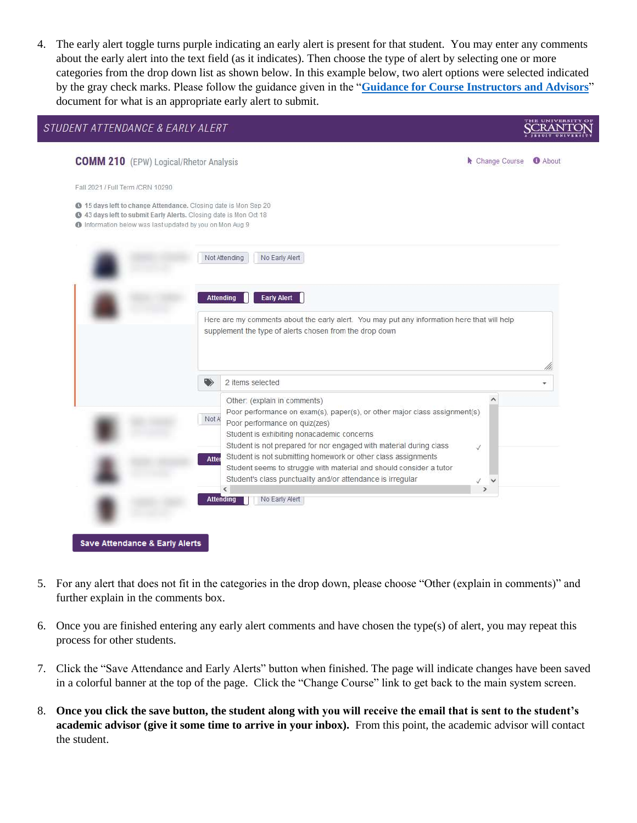4. The early alert toggle turns purple indicating an early alert is present for that student. You may enter any comments about the early alert into the text field (as it indicates). Then choose the type of alert by selecting one or more categories from the drop down list as shown below. In this example below, two alert options were selected indicated by the gray check marks. Please follow the guidance given in the "**[Guidance for Course Instructors and Advisors](https://www.scranton.edu/academics/provost/student-retention/assets/documents/guidance-for-course-instructors-and-advisors-august-2021.pdf)**" document for what is an appropriate early alert to submit.

| <b>COMM 210</b> (EPW) Logical/Rhetor Analysis                                                                                                                                              |                  |                                                                                             | Change Course | <b>O</b> About |
|--------------------------------------------------------------------------------------------------------------------------------------------------------------------------------------------|------------------|---------------------------------------------------------------------------------------------|---------------|----------------|
| Fall 2021 / Full Term /CRN 10290                                                                                                                                                           |                  |                                                                                             |               |                |
| 15 days left to change Attendance. Closing date is Mon Sep 20<br>43 days left to submit Early Alerts. Closing date is Mon Oct 18<br>Information below was last updated by you on Mon Aug 9 |                  |                                                                                             |               |                |
|                                                                                                                                                                                            |                  | Not Attending<br>No Early Alert                                                             |               |                |
|                                                                                                                                                                                            | <b>Attending</b> | <b>Early Alert</b>                                                                          |               |                |
|                                                                                                                                                                                            |                  | Here are my comments about the early alert. You may put any information here that will help |               |                |
|                                                                                                                                                                                            |                  |                                                                                             |               |                |
|                                                                                                                                                                                            |                  | supplement the type of alerts chosen from the drop down                                     |               |                |
|                                                                                                                                                                                            | ◈                | 2 items selected                                                                            |               |                |
|                                                                                                                                                                                            |                  | Other: (explain in comments)                                                                |               |                |
|                                                                                                                                                                                            | Not A            | Poor performance on exam(s), paper(s), or other major class assignment(s)                   |               |                |
|                                                                                                                                                                                            |                  | Poor performance on quiz(zes)<br>Student is exhibiting nonacademic concerns                 |               |                |
|                                                                                                                                                                                            |                  | Student is not prepared for nor engaged with material during class                          | √             |                |
|                                                                                                                                                                                            | Atter            | Student is not submitting homework or other class assignments                               |               |                |
|                                                                                                                                                                                            |                  | Student seems to struggle with material and should consider a tutor                         |               |                |
|                                                                                                                                                                                            |                  | Student's class punctuality and/or attendance is irregular                                  |               |                |
|                                                                                                                                                                                            | <b>Attending</b> | No Early Alert                                                                              |               |                |

- 5. For any alert that does not fit in the categories in the drop down, please choose "Other (explain in comments)" and further explain in the comments box.
- 6. Once you are finished entering any early alert comments and have chosen the type(s) of alert, you may repeat this process for other students.
- 7. Click the "Save Attendance and Early Alerts" button when finished. The page will indicate changes have been saved in a colorful banner at the top of the page. Click the "Change Course" link to get back to the main system screen.
- 8. **Once you click the save button, the student along with you will receive the email that is sent to the student's academic advisor (give it some time to arrive in your inbox).** From this point, the academic advisor will contact the student.